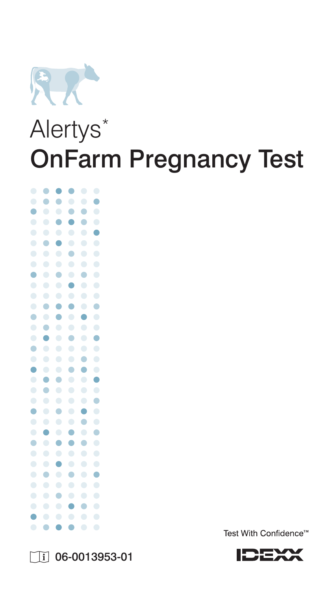

# Alertys<sup>\*</sup> OnFarm Pregnancy Test







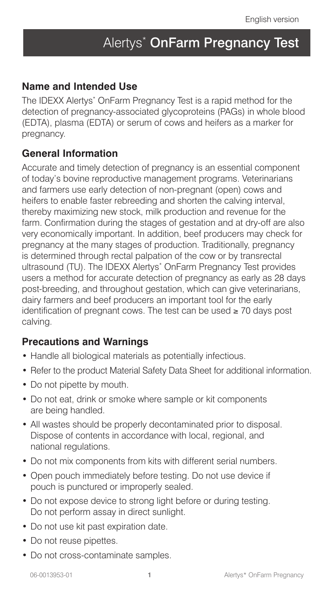# Alertys<sup>\*</sup> OnFarm Pregnancy Test

#### **Name and Intended Use**

The IDEXX Alertys\* OnFarm Pregnancy Test is a rapid method for the detection of pregnancy-associated glycoproteins (PAGs) in whole blood (EDTA), plasma (EDTA) or serum of cows and heifers as a marker for pregnancy.

#### **General Information**

Accurate and timely detection of pregnancy is an essential component of today's bovine reproductive management programs. Veterinarians and farmers use early detection of non-pregnant (open) cows and heifers to enable faster rebreeding and shorten the calving interval, thereby maximizing new stock, milk production and revenue for the farm. Confirmation during the stages of gestation and at dry-off are also very economically important. In addition, beef producers may check for pregnancy at the many stages of production. Traditionally, pregnancy is determined through rectal palpation of the cow or by transrectal ultrasound (TU). The IDEXX Alertys\* OnFarm Pregnancy Test provides users a method for accurate detection of pregnancy as early as 28 days post-breeding, and throughout gestation, which can give veterinarians, dairy farmers and beef producers an important tool for the early identification of pregnant cows. The test can be used ≥ 70 days post calving.

#### **Precautions and Warnings**

- Handle all biological materials as potentially infectious.
- Refer to the product Material Safety Data Sheet for additional information.
- Do not pipette by mouth.
- Do not eat, drink or smoke where sample or kit components are being handled.
- All wastes should be properly decontaminated prior to disposal. Dispose of contents in accordance with local, regional, and national regulations.
- Do not mix components from kits with different serial numbers.
- Open pouch immediately before testing. Do not use device if pouch is punctured or improperly sealed.
- Do not expose device to strong light before or during testing. Do not perform assay in direct sunlight.
- Do not use kit past expiration date.
- Do not reuse pipettes.
- Do not cross-contaminate samples.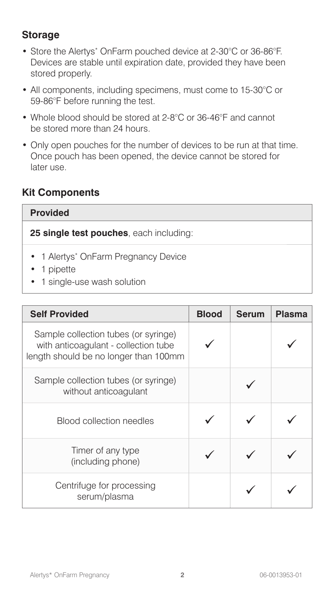## **Storage**

- Store the Alertys\* OnFarm pouched device at 2-30°C or 36-86°F. Devices are stable until expiration date, provided they have been stored properly.
- All components, including specimens, must come to 15-30°C or 59-86°F before running the test.
- Whole blood should be stored at 2-8°C or 36-46°F and cannot be stored more than 24 hours.
- Only open pouches for the number of devices to be run at that time. Once pouch has been opened, the device cannot be stored for later use.

### **Kit Components**

#### **Provided**

**25 single test pouches**, each including:

- 1 Alertys<sup>\*</sup> OnFarm Pregnancy Device
- 1 pipette
- 1 single-use wash solution

| <b>Self Provided</b>                                                                                                  | <b>Blood</b> | <b>Serum</b> | Plasma |
|-----------------------------------------------------------------------------------------------------------------------|--------------|--------------|--------|
| Sample collection tubes (or syringe)<br>with anticoagulant - collection tube<br>length should be no longer than 100mm |              |              |        |
| Sample collection tubes (or syringe)<br>without anticoagulant                                                         |              |              |        |
| <b>Blood collection needles</b>                                                                                       |              |              |        |
| Timer of any type<br>(including phone)                                                                                |              |              |        |
| Centrifuge for processing<br>serum/plasma                                                                             |              |              |        |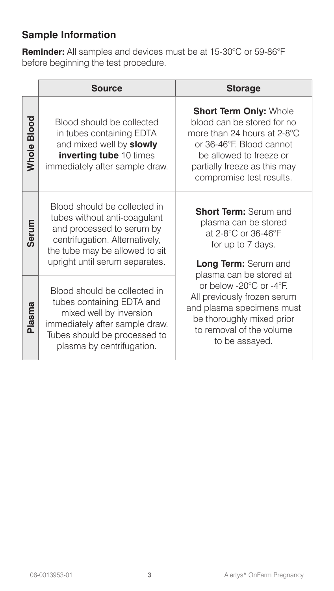# **Sample Information**

**Reminder:** All samples and devices must be at 15-30°C or 59-86°F before beginning the test procedure.

|             | <b>Source</b>                                                                                                                                                                                   | <b>Storage</b>                                                                                                                                                                                                |
|-------------|-------------------------------------------------------------------------------------------------------------------------------------------------------------------------------------------------|---------------------------------------------------------------------------------------------------------------------------------------------------------------------------------------------------------------|
| Whole Blood | Blood should be collected<br>in tubes containing EDTA<br>and mixed well by slowly<br>inverting tube 10 times<br>immediately after sample draw.                                                  | <b>Short Term Only: Whole</b><br>blood can be stored for no<br>more than 24 hours at 2-8°C<br>or 36-46°F. Blood cannot<br>be allowed to freeze or<br>partially freeze as this may<br>compromise test results. |
| Serum       | Blood should be collected in<br>tubes without anti-coagulant<br>and processed to serum by<br>centrifugation. Alternatively,<br>the tube may be allowed to sit<br>upright until serum separates. | <b>Short Term: Serum and</b><br>plasma can be stored<br>at 2-8°C or 36-46°F<br>for up to 7 days.<br>Long Term: Serum and<br>plasma can be stored at                                                           |
| Plasma      | Blood should be collected in<br>tubes containing EDTA and<br>mixed well by inversion<br>immediately after sample draw.<br>Tubes should be processed to<br>plasma by centrifugation.             | or below -20 $^{\circ}$ C or -4 $^{\circ}$ F.<br>All previously frozen serum<br>and plasma specimens must<br>be thoroughly mixed prior<br>to removal of the volume<br>to be assayed.                          |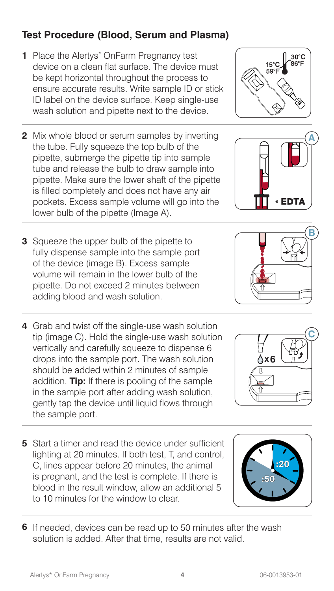# **Test Procedure (Blood, Serum and Plasma)**

- **1** Place the Alertys\* OnFarm Pregnancy test device on a clean flat surface. The device must be kept horizontal throughout the process to ensure accurate results. Write sample ID or stick ID label on the device surface. Keep single-use wash solution and pipette next to the device.
- **2** Mix whole blood or serum samples by inverting the tube. Fully squeeze the top bulb of the pipette, submerge the pipette tip into sample tube and release the bulb to draw sample into pipette. Make sure the lower shaft of the pipette is filled completely and does not have any air pockets. Excess sample volume will go into the lower bulb of the pipette (Image A).
- **3** Squeeze the upper bulb of the pipette to fully dispense sample into the sample port of the device (image B). Excess sample volume will remain in the lower bulb of the pipette. Do not exceed 2 minutes between adding blood and wash solution.
- **4** Grab and twist off the single-use wash solution tip (image C). Hold the single-use wash solution vertically and carefully squeeze to dispense 6 drops into the sample port. The wash solution should be added within 2 minutes of sample addition. **Tip:** If there is pooling of the sample in the sample port after adding wash solution, gently tap the device until liquid flows through the sample port.
- **5** Start a timer and read the device under sufficient lighting at 20 minutes. If both test, T, and control, C, lines appear before 20 minutes, the animal is pregnant, and the test is complete. If there is blood in the result window, allow an additional 5 to 10 minutes for the window to clear.
- **6** If needed, devices can be read up to 50 minutes after the wash solution is added. After that time, results are not valid.



**x6**





**A**

 $30^{\circ}$ C

 $15^{\circ}$ C

**C**

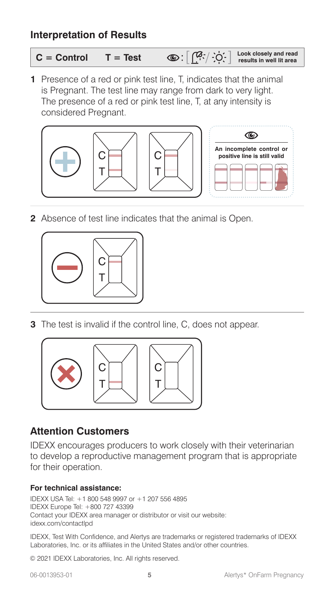#### **Interpretation of Results**

$$
C = \text{Control} \qquad T = \text{Test} \qquad \text{ or: } \boxed{\text{?C} \cdot / \cdot \text{C}' \cdot \text{ } } \quad \text{ \text{ \textit{book closely and read} \text{ } } }
$$

**1** Presence of a red or pink test line, T, indicates that the animal is Pregnant. The test line may range from dark to very light. The presence of a red or pink test line, T, at any intensity is considered Pregnant.



**2** Absence of test line indicates that the animal is Open.



**3** The test is invalid if the control line, C, does not appear.



### **Attention Customers**

IDEXX encourages producers to work closely with their veterinarian to develop a reproductive management program that is appropriate for their operation.

#### **For technical assistance:**

IDEXX USA Tel: +1 800 548 9997 or +1 207 556 4895 IDEXX Europe Tel: +800 727 43399 Contact your IDEXX area manager or distributor or visit our website: idexx.com/contactlpd

IDEXX, Test With Confidence, and Alertys are trademarks or registered trademarks of IDEXX Laboratories, Inc. or its affiliates in the United States and/or other countries.

© 2021 IDEXX Laboratories, Inc. All rights reserved.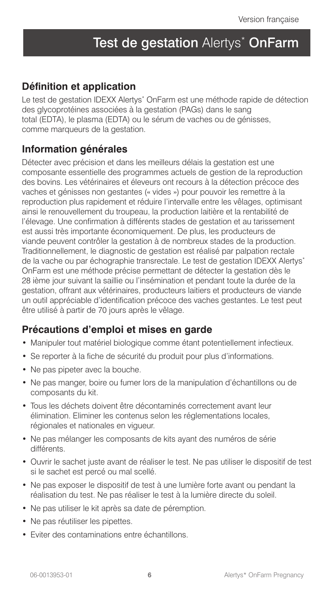# Test de gestation Alertys<sup>\*</sup> OnFarm

#### **Définition et application**

Le test de gestation IDEXX Alertys\* OnFarm est une méthode rapide de détection des glycoprotéines associées à la gestation (PAGs) dans le sang total (EDTA), le plasma (EDTA) ou le sérum de vaches ou de génisses, comme marqueurs de la gestation.

#### **Information générales**

Détecter avec précision et dans les meilleurs délais la gestation est une composante essentielle des programmes actuels de gestion de la reproduction des bovins. Les vétérinaires et éleveurs ont recours à la détection précoce des vaches et génisses non gestantes (« vides ») pour pouvoir les remettre à la reproduction plus rapidement et réduire l'intervalle entre les vêlages, optimisant ainsi le renouvellement du troupeau, la production laitière et la rentabilité de l'élevage. Une confirmation à différents stades de gestation et au tarissement est aussi très importante économiquement. De plus, les producteurs de viande peuvent contrôler la gestation à de nombreux stades de la production. Traditionnellement, le diagnostic de gestation est réalisé par palpation rectale de la vache ou par échographie transrectale. Le test de gestation IDEXX Alertys\* OnFarm est une méthode précise permettant de détecter la gestation dès le 28 ième jour suivant la saillie ou l'insémination et pendant toute la durée de la gestation, offrant aux vétérinaires, producteurs laitiers et producteurs de viande un outil appréciable d'identification précoce des vaches gestantes. Le test peut être utilisé à partir de 70 jours après le vêlage.

#### **Précautions d'emploi et mises en garde**

- Manipuler tout matériel biologique comme étant potentiellement infectieux.
- Se reporter à la fiche de sécurité du produit pour plus d'informations.
- Ne pas pipeter avec la bouche.
- Ne pas manger, boire ou fumer lors de la manipulation d'échantillons ou de composants du kit.
- Tous les déchets doivent être décontaminés correctement avant leur élimination. Eliminer les contenus selon les réglementations locales, régionales et nationales en vigueur.
- Ne pas mélanger les composants de kits ayant des numéros de série différents.
- Ouvrir le sachet juste avant de réaliser le test. Ne pas utiliser le dispositif de test si le sachet est percé ou mal scellé.
- Ne pas exposer le dispositif de test à une lumière forte avant ou pendant la réalisation du test. Ne pas réaliser le test à la lumière directe du soleil.
- Ne pas utiliser le kit après sa date de péremption.
- Ne pas réutiliser les pipettes.
- Eviter des contaminations entre échantillons.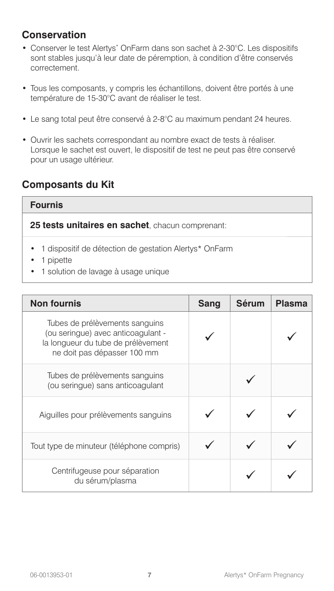#### **Conservation**

- Conserver le test Alertys\* OnFarm dans son sachet à 2-30°C. Les dispositifs sont stables jusqu'à leur date de péremption, à condition d'être conservés correctement.
- Tous les composants, y compris les échantillons, doivent être portés à une température de 15-30°C avant de réaliser le test.
- Le sang total peut être conservé à 2-8°C au maximum pendant 24 heures.
- Ouvrir les sachets correspondant au nombre exact de tests à réaliser. Lorsque le sachet est ouvert, le dispositif de test ne peut pas être conservé pour un usage ultérieur.

#### **Composants du Kit**

#### **Fournis**

**25 tests unitaires en sachet**, chacun comprenant:

- 1 dispositif de détection de gestation Alertys\* OnFarm
- 1 pipette
- 1 solution de lavage à usage unique

| <b>Non fournis</b>                                                                                                                        | <b>Sang</b> | <b>Sérum</b> | <b>Plasma</b> |
|-------------------------------------------------------------------------------------------------------------------------------------------|-------------|--------------|---------------|
| Tubes de prélèvements sanguins<br>(ou seringue) avec anticoagulant -<br>la longueur du tube de prélèvement<br>ne doit pas dépasser 100 mm |             |              |               |
| Tubes de prélèvements sanguins<br>(ou seringue) sans anticoagulant                                                                        |             |              |               |
| Aiguilles pour prélèvements sanguins                                                                                                      |             |              |               |
| Tout type de minuteur (téléphone compris)                                                                                                 |             |              |               |
| Centrifugeuse pour séparation<br>du sérum/plasma                                                                                          |             |              |               |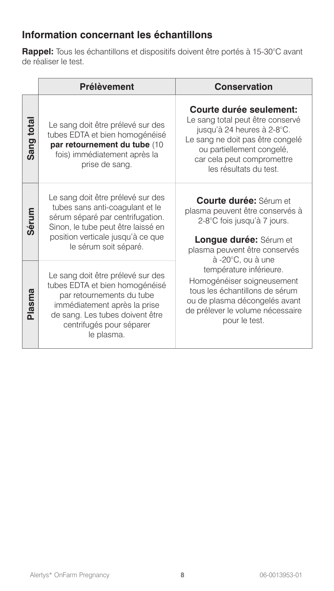## **Information concernant les échantillons**

**Rappel:** Tous les échantillons et dispositifs doivent être portés à 15-30°C avant de réaliser le test.

|            | <b>Prélèvement</b>                                                                                                                                                                                            | <b>Conservation</b>                                                                                                                                                                                                |
|------------|---------------------------------------------------------------------------------------------------------------------------------------------------------------------------------------------------------------|--------------------------------------------------------------------------------------------------------------------------------------------------------------------------------------------------------------------|
| Sang total | Le sang doit être prélevé sur des<br>tubes EDTA et bien homogénéisé<br>par retournement du tube (10<br>fois) immédiatement après la<br>prise de sang.                                                         | Courte durée seulement:<br>Le sang total peut être conservé<br>jusqu'à 24 heures à 2-8°C.<br>Le sang ne doit pas être congelé<br>ou partiellement congelé,<br>car cela peut compromettre<br>les résultats du test. |
| Sérum      | Le sang doit être prélevé sur des<br>tubes sans anti-coagulant et le<br>sérum séparé par centrifugation.<br>Sinon, le tube peut être laissé en<br>position verticale jusqu'à ce que<br>le sérum soit séparé.  | <b>Courte durée: Sérum et</b><br>plasma peuvent être conservés à<br>2-8°C fois jusqu'à 7 jours.<br><b>Longue durée:</b> Sérum et<br>plasma peuvent être conservés<br>à -20°C, ou à une                             |
| Plasma     | Le sang doit être prélevé sur des<br>tubes EDTA et bien homogénéisé<br>par retournements du tube<br>immédiatement après la prise<br>de sang. Les tubes doivent être<br>centrifugés pour séparer<br>le plasma. | température inférieure.<br>Homogénéiser soigneusement<br>tous les échantillons de sérum<br>ou de plasma décongelés avant<br>de prélever le volume nécessaire<br>pour le test.                                      |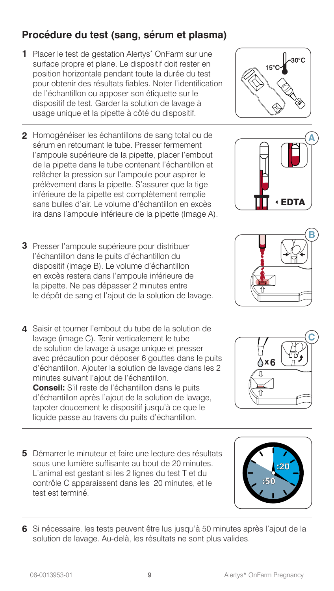# **Procédure du test (sang, sérum et plasma)**

- 1 Placer le test de gestation Alertys<sup>\*</sup> OnFarm sur une surface propre et plane. Le dispositif doit rester en position horizontale pendant toute la durée du test pour obtenir des résultats fiables. Noter l'identification de l'échantillon ou apposer son étiquette sur le dispositif de test. Garder la solution de lavage à usage unique et la pipette à côté du dispositif.
- **2** Homogénéiser les échantillons de sang total ou de sérum en retournant le tube. Presser fermement l'ampoule supérieure de la pipette, placer l'embout de la pipette dans le tube contenant l'échantillon et relâcher la pression sur l'ampoule pour aspirer le prélèvement dans la pipette. S'assurer que la tige inférieure de la pipette est complètement remplie sans bulles d'air. Le volume d'échantillon en excès ira dans l'ampoule inférieure de la pipette (Image A).
- **3** Presser l'ampoule supérieure pour distribuer l'échantillon dans le puits d'échantillon du dispositif (image B). Le volume d'échantillon en excès restera dans l'ampoule inférieure de la pipette. Ne pas dépasser 2 minutes entre le dépôt de sang et l'ajout de la solution de lavage.
- **4** Saisir et tourner l'embout du tube de la solution de lavage (image C). Tenir verticalement le tube de solution de lavage à usage unique et presser avec précaution pour déposer 6 gouttes dans le puits d'échantillon. Ajouter la solution de lavage dans les 2 minutes suivant l'ajout de l'échantillon. **Conseil:** S'il reste de l'échantillon dans le puits d'échantillon après l'ajout de la solution de lavage, tapoter doucement le dispositif jusqu'à ce que le liquide passe au travers du puits d'échantillon.
- **5** Démarrer le minuteur et faire une lecture des résultats sous une lumière suffisante au bout de 20 minutes. L'animal est gestant si les 2 lignes du test T et du contrôle C apparaissent dans les 20 minutes, et le test est terminé.
- **6** Si nécessaire, les tests peuvent être lus jusqu'à 50 minutes après l'ajout de la solution de lavage. Au-delà, les résultats ne sont plus valides.





← EDT/



:50





**x6**

**C**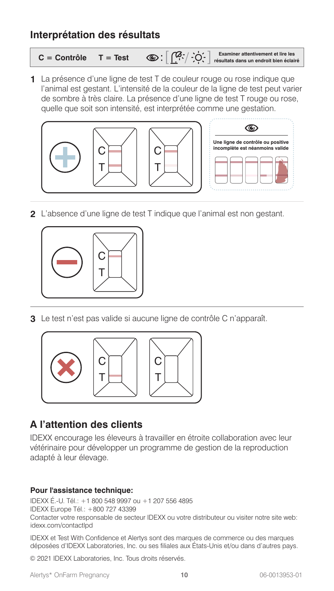#### **Interprétation des résultats**

**C = Contrôle T = Test Examiner attentivement et lire les résultats dans un endroit bien éclairé**

**1** La présence d'une ligne de test T de couleur rouge ou rose indique que l'animal est gestant. L'intensité de la couleur de la ligne de test peut varier de sombre à très claire. La présence d'une ligne de test T rouge ou rose, quelle que soit son intensité, est interprétée comme une gestation.



**2** L'absence d'une ligne de test T indique que l'animal est non gestant.



**3** Le test n'est pas valide si aucune ligne de contrôle C n'apparaît.



### **A l'attention des clients**

IDEXX encourage les éleveurs à travailler en étroite collaboration avec leur vétérinaire pour développer un programme de gestion de la reproduction adapté à leur élevage.

#### **Pour l'assistance technique:**

IDEXX É.-U. Tél.: +1 800 548 9997 ou +1 207 556 4895 IDEXX Europe Tél.: +800 727 43399 Contacter votre responsable de secteur IDEXX ou votre distributeur ou visiter notre site web: idexx.com/contactlpd

IDEXX et Test With Confidence et Alertys sont des marques de commerce ou des marques déposées d'IDEXX Laboratories, Inc. ou ses filiales aux États-Unis et/ou dans d'autres pays.

© 2021 IDEXX Laboratories, Inc. Tous droits réservés.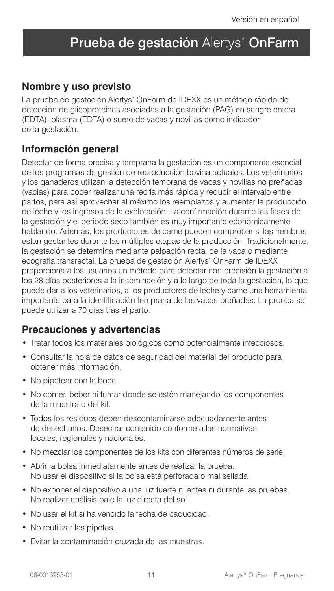# Prueba de gestación Alertys<sup>\*</sup> OnFarm

#### **Nombre y uso previsto**

La prueba de gestación Alertys\* OnFarm de IDEXX es un método rápido de detección de glicoproteínas asociadas a la gestación (PAG) en sangre entera (EDTA), plasma (EDTA) o suero de vacas y novillas como indicador de la gestación.

### **Información general**

Detectar de forma precisa y temprana la gestación es un componente esencial de los programas de gestión de reproducción bovina actuales. Los veterinarios y los ganaderos utilizan la detección temprana de vacas y novillas no preñadas (vacias) para poder realizar una recría más rápida y reducir el intervalo entre partos, para así aprovechar al máximo los reemplazos y aumentar la producción de leche y los ingresos de la explotación. La confirmación durante las fases de la gestación y el periodo seco también es muy importante económicamente hablando. Además, los productores de carne pueden comprobar si las hembras estan gestantes durante las múltiples etapas de la producción. Tradicionalmente, la gestación se determina mediante palpación rectal de la vaca o mediante ecografía transrectal. La prueba de gestación Alertys\* OnFarm de IDEXX proporciona a los usuarios un método para detectar con precisión la gestación a los 28 días posteriores a la inseminación y a lo largo de toda la gestación, lo que puede dar a los veterinarios, a los productores de leche y carne una herramienta importante para la identificación temprana de las vacas preñadas. La prueba se puede utilizar ≥ 70 días tras el parto.

#### **Precauciones y advertencias**

- Tratar todos los materiales biológicos como potencialmente infecciosos.
- Consultar la hoja de datos de seguridad del material del producto para obtener más información.
- No pipetear con la boca.
- No comer, beber ni fumar donde se estén manejando los componentes de la muestra o del kit.
- Todos los residuos deben descontaminarse adecuadamente antes de desecharlos. Desechar contenido conforme a las normativas locales, regionales y nacionales.
- No mezclar los componentes de los kits con diferentes números de serie.
- Abrir la bolsa inmediatamente antes de realizar la prueba. No usar el dispositivo si la bolsa está perforada o mal sellada.
- No exponer el dispositivo a una luz fuerte ni antes ni durante las pruebas. No realizar análisis bajo la luz directa del sol.
- No usar el kit si ha vencido la fecha de caducidad.
- No reutilizar las pipetas.
- Evitar la contaminación cruzada de las muestras.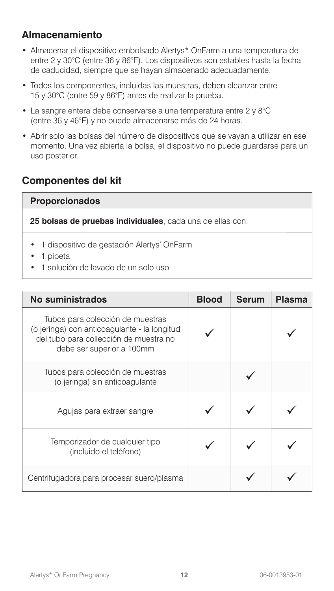## **Almacenamiento**

- Almacenar el dispositivo embolsado Alertys\* OnFarm a una temperatura de entre 2 y 30°C (entre 36 y 86°F). Los dispositivos son estables hasta la fecha de caducidad, siempre que se hayan almacenado adecuadamente.
- Todos los componentes, incluidas las muestras, deben alcanzar entre 15 y 30°C (entre 59 y 86°F) antes de realizar la prueba.
- La sangre entera debe conservarse a una temperatura entre 2 y 8°C (entre 36 y 46°F) y no puede almacenarse más de 24 horas.
- Abrir solo las bolsas del número de dispositivos que se vayan a utilizar en ese momento. Una vez abierta la bolsa, el dispositivo no puede guardarse para un uso posterior.

### **Componentes del kit**

#### **Proporcionados**

**25 bolsas de pruebas individuales**, cada una de ellas con:

- 1 dispositivo de gestación Alertys\* OnFarm
- 1 pipeta
- 1 solución de lavado de un solo uso

| No suministrados                                                                                                                                        | <b>Blood</b> | <b>Serum</b> | <b>Plasma</b> |
|---------------------------------------------------------------------------------------------------------------------------------------------------------|--------------|--------------|---------------|
| Tubos para colección de muestras<br>(o jeringa) con anticoagulante - la longitud<br>del tubo para collección de muestra no<br>debe ser superior a 100mm |              |              |               |
| Tubos para colección de muestras<br>(o jeringa) sin anticoagulante                                                                                      |              |              |               |
| Agujas para extraer sangre                                                                                                                              |              |              |               |
| Temporizador de cualquier tipo<br>(incluido el teléfono)                                                                                                |              |              |               |
| Centrifugadora para procesar suero/plasma                                                                                                               |              |              |               |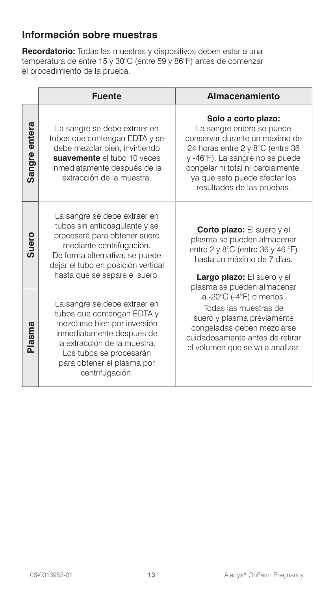## **Información sobre muestras**

**Recordatorio:** Todas las muestras y dispositivos deben estar a una temperatura de entre 15 y 30°C (entre 59 y 86°F) antes de comenzar el procedimiento de la prueba.

|               | <b>Fuente</b>                                                                                                                                                                                                                       | Almacenamiento                                                                                                                                                                                                                                                 |
|---------------|-------------------------------------------------------------------------------------------------------------------------------------------------------------------------------------------------------------------------------------|----------------------------------------------------------------------------------------------------------------------------------------------------------------------------------------------------------------------------------------------------------------|
| Sangre entera | La sangre se debe extraer en<br>tubos que contengan EDTA y se<br>debe mezclar bien, invirtiendo<br>suavemente el tubo 10 veces<br>inmediatamente después de la<br>extracción de la muestra.                                         | Solo a corto plazo:<br>La sangre entera se puede<br>conservar durante un máximo de<br>24 horas entre 2 y 8°C (entre 36<br>y -46°F). La sangre no se puede<br>congelar ni total ni parcialmente,<br>ya que esto puede afectar los<br>resultados de las pruebas. |
| <b>Suero</b>  | La sangre se debe extraer en<br>tubos sin anticoagulante y se<br>procesará para obtener suero<br>mediante centrifugación.<br>De forma alternativa, se puede<br>dejar el tubo en posición vertical<br>hasta que se separe el suero.  | <b>Corto plazo:</b> El suero y el<br>plasma se pueden almacenar<br>entre 2 y 8 $^{\circ}$ C (entre 36 y 46 $^{\circ}$ F)<br>hasta un máximo de 7 días.<br>Largo plazo: El suero y el<br>plasma se pueden almacenar                                             |
| Plasma        | La sangre se debe extraer en<br>tubos que contengan EDTA y<br>mezclarse bien por inversión<br>inmediatamente después de<br>la extracción de la muestra.<br>Los tubos se procesarán<br>para obtener el plasma por<br>centrifugación. | a -20°C (-4°F) o menos.<br>Todas las muestras de<br>suero y plasma previamente<br>congeladas deben mezclarse<br>cuidadosamente antes de retirar<br>el volumen que se va a analizar.                                                                            |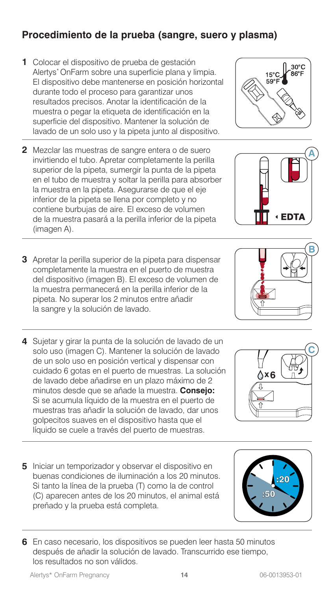# **Procedimiento de la prueba (sangre, suero y plasma)**

- **1** Colocar el dispositivo de prueba de gestación Alertys\* OnFarm sobre una superficie plana y limpia. El dispositivo debe mantenerse en posición horizontal durante todo el proceso para garantizar unos resultados precisos. Anotar la identificación de la muestra o pegar la etiqueta de identificación en la superficie del dispositivo. Mantener la solución de lavado de un solo uso y la pipeta junto al dispositivo.
- **2** Mezclar las muestras de sangre entera o de suero invirtiendo el tubo. Apretar completamente la perilla superior de la pipeta, sumergir la punta de la pipeta en el tubo de muestra y soltar la perilla para absorber la muestra en la pipeta. Asegurarse de que el eje inferior de la pipeta se llena por completo y no contiene burbujas de aire. El exceso de volumen de la muestra pasará a la perilla inferior de la pipeta (imagen A).
- **3** Apretar la perilla superior de la pipeta para dispensar completamente la muestra en el puerto de muestra del dispositivo (imagen B). El exceso de volumen de la muestra permanecerá en la perilla inferior de la pipeta. No superar los 2 minutos entre añadir la sangre y la solución de lavado.
- **4** Sujetar y girar la punta de la solución de lavado de un solo uso (imagen C). Mantener la solución de lavado de un solo uso en posición vertical y dispensar con cuidado 6 gotas en el puerto de muestras. La solución de lavado debe añadirse en un plazo máximo de 2 minutos desde que se añade la muestra. **Consejo:** Si se acumula líquido de la muestra en el puerto de muestras tras añadir la solución de lavado, dar unos golpecitos suaves en el dispositivo hasta que el líquido se cuele a través del puerto de muestras.
- **5** Iniciar un temporizador y observar el dispositivo en buenas condiciones de iluminación a los 20 minutos. Si tanto la línea de la prueba (T) como la de control (C) aparecen antes de los 20 minutos, el animal está preñado y la prueba está completa.
- **6** En caso necesario, los dispositivos se pueden leer hasta 50 minutos después de añadir la solución de lavado. Transcurrido ese tiempo, los resultados no son válidos.









**A**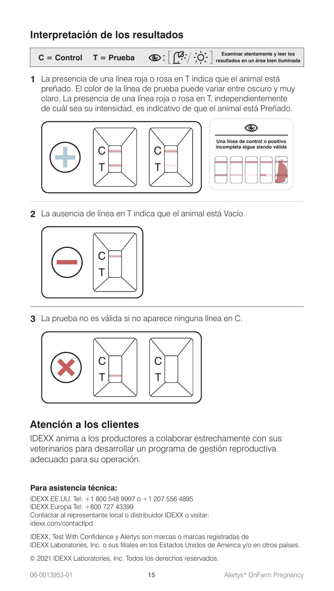#### **Interpretación de los resultados**

|  | $C =$ Control $T =$ Prueba $\bigotimes : \left[\begin{array}{c} [0,1] \dots \\ \vdots \end{array}\right]$ Examinar atentamente y leer los |
|--|-------------------------------------------------------------------------------------------------------------------------------------------|
|  |                                                                                                                                           |

**1** La presencia de una línea roja o rosa en T indica que el animal está preñado. El color de la línea de prueba puede variar entre oscuro y muy claro. La presencia de una línea roja o rosa en T, independientemente de cuál sea su intensidad, es indicativo de que el animal está Preñado.





**2** La ausencia de línea en T indica que el animal está Vacío.



**3** La prueba no es válida si no aparece ninguna línea en C.



### **Atención a los clientes**

IDEXX anima a los productores a colaborar estrechamente con sus veterinarios para desarrollar un programa de gestión reproductiva adecuado para su operación.

#### **Para asistencia técnica:**

IDEXX EE.UU. Tel: +1 800 548 9997 o +1 207 556 4895 IDEXX Europa Tel: +800 727 43399 Contactar al representante local o distribuidor IDEXX o visitar: idexx.com/contactlpd

IDEXX, Test With Confidence y Alertys son marcas o marcas registradas de IDEXX Laboratories, Inc. o sus filiales en los Estados Unidos de America y/o en otros países.

© 2021 IDEXX Laboratories, Inc. Todos los derechos reservados.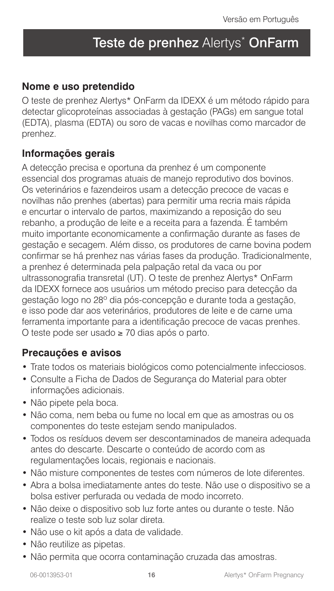# Teste de prenhez Alertys\* OnFarm

#### **Nome e uso pretendido**

O teste de prenhez Alertys\* OnFarm da IDEXX é um método rápido para detectar glicoproteínas associadas à gestação (PAGs) em sangue total (EDTA), plasma (EDTA) ou soro de vacas e novilhas como marcador de prenhez.

#### **Informações gerais**

A detecção precisa e oportuna da prenhez é um componente essencial dos programas atuais de manejo reprodutivo dos bovinos. Os veterinários e fazendeiros usam a detecção precoce de vacas e novilhas não prenhes (abertas) para permitir uma recria mais rápida e encurtar o intervalo de partos, maximizando a reposição do seu rebanho, a produção de leite e a receita para a fazenda. É também muito importante economicamente a confirmação durante as fases de gestação e secagem. Além disso, os produtores de carne bovina podem confirmar se há prenhez nas várias fases da produção. Tradicionalmente, a prenhez é determinada pela palpação retal da vaca ou por ultrassonografia transretal (UT). O teste de prenhez Alertys\* OnFarm da IDEXX fornece aos usuários um método preciso para detecção da gestação logo no 28º dia pós-concepção e durante toda a gestação, e isso pode dar aos veterinários, produtores de leite e de carne uma ferramenta importante para a identificação precoce de vacas prenhes. O teste pode ser usado ≥ 70 dias após o parto.

#### **Precauções e avisos**

- Trate todos os materiais biológicos como potencialmente infecciosos.
- Consulte a Ficha de Dados de Segurança do Material para obter informações adicionais.
- Não pipete pela boca.
- Não coma, nem beba ou fume no local em que as amostras ou os componentes do teste estejam sendo manipulados.
- Todos os resíduos devem ser descontaminados de maneira adequada antes do descarte. Descarte o conteúdo de acordo com as regulamentações locais, regionais e nacionais.
- Não misture componentes de testes com números de lote diferentes.
- Abra a bolsa imediatamente antes do teste. Não use o dispositivo se a bolsa estiver perfurada ou vedada de modo incorreto.
- Não deixe o dispositivo sob luz forte antes ou durante o teste. Não realize o teste sob luz solar direta.
- Não use o kit após a data de validade.
- Não reutilize as pipetas.
- Não permita que ocorra contaminação cruzada das amostras.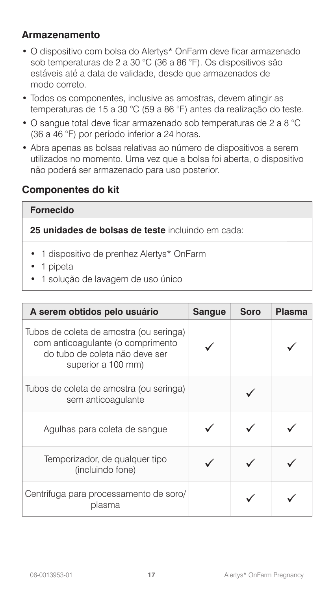#### **Armazenamento**

- O dispositivo com bolsa do Alertys\* OnFarm deve ficar armazenado sob temperaturas de 2 a 30 °C (36 a 86 °F). Os dispositivos são estáveis até a data de validade, desde que armazenados de modo correto.
- Todos os componentes, inclusive as amostras, devem atingir as temperaturas de 15 a 30 °C (59 a 86 °F) antes da realização do teste.
- O sangue total deve ficar armazenado sob temperaturas de 2 a 8 °C (36 a 46 °F) por período inferior a 24 horas.
- Abra apenas as bolsas relativas ao número de dispositivos a serem utilizados no momento. Uma vez que a bolsa foi aberta, o dispositivo não poderá ser armazenado para uso posterior.

### **Componentes do kit**

#### **Fornecido**

**25 unidades de bolsas de teste** incluindo em cada:

- 1 dispositivo de prenhez Alertys\* OnFarm
- 1 pipeta
- 1 solução de lavagem de uso único

| A serem obtidos pelo usuário                                                                                                         | <b>Sangue</b> | <b>Soro</b> | <b>Plasma</b> |
|--------------------------------------------------------------------------------------------------------------------------------------|---------------|-------------|---------------|
| Tubos de coleta de amostra (ou seringa)<br>com anticoagulante (o comprimento<br>do tubo de coleta não deve ser<br>superior a 100 mm) |               |             |               |
| Tubos de coleta de amostra (ou seringa)<br>sem anticoagulante                                                                        |               |             |               |
| Agulhas para coleta de sangue                                                                                                        |               |             |               |
| Temporizador, de qualquer tipo<br>(incluindo fone)                                                                                   |               |             |               |
| Centrífuga para processamento de soro/<br>plasma                                                                                     |               |             |               |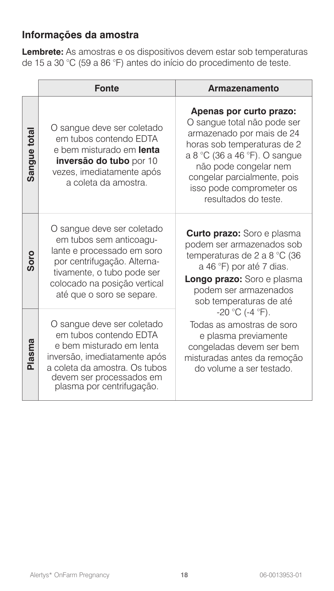# **Informações da amostra**

**Lembrete:** As amostras e os dispositivos devem estar sob temperaturas de 15 a 30 °C (59 a 86 °F) antes do início do procedimento de teste.

|             | <b>Fonte</b>                                                                                                                                                                                                  | Armazenamento                                                                                                                                                                                                                                                   |
|-------------|---------------------------------------------------------------------------------------------------------------------------------------------------------------------------------------------------------------|-----------------------------------------------------------------------------------------------------------------------------------------------------------------------------------------------------------------------------------------------------------------|
| Sangue tota | O sangue deve ser coletado<br>em tubos contendo EDTA<br>e bem misturado em lenta<br>inversão do tubo por 10<br>vezes, imediatamente após<br>a coleta da amostra.                                              | Apenas por curto prazo:<br>O sangue total não pode ser<br>armazenado por mais de 24<br>horas sob temperaturas de 2<br>a 8 °C (36 a 46 °F). O sangue<br>não pode congelar nem<br>congelar parcialmente, pois<br>isso pode comprometer os<br>resultados do teste. |
| Soro        | O sangue deve ser coletado<br>em tubos sem anticoagu-<br>lante e processado em soro<br>por centrifugação. Alterna-<br>tivamente, o tubo pode ser<br>colocado na posição vertical<br>até que o soro se separe. | <b>Curto prazo:</b> Soro e plasma<br>podem ser armazenados sob<br>temperaturas de 2 a 8 °C (36<br>a 46 °F) por até 7 dias.<br>Longo prazo: Soro e plasma<br>podem ser armazenados<br>sob temperaturas de até                                                    |
| Plasma      | O sangue deve ser coletado<br>em tubos contendo EDTA<br>e bem misturado em lenta<br>inversão, imediatamente após<br>a coleta da amostra. Os tubos<br>devem ser processados em<br>plasma por centrifugação.    | $-20$ °C (-4 °F).<br>Todas as amostras de soro<br>e plasma previamente<br>congeladas devem ser bem<br>misturadas antes da remoção<br>do volume a ser testado.                                                                                                   |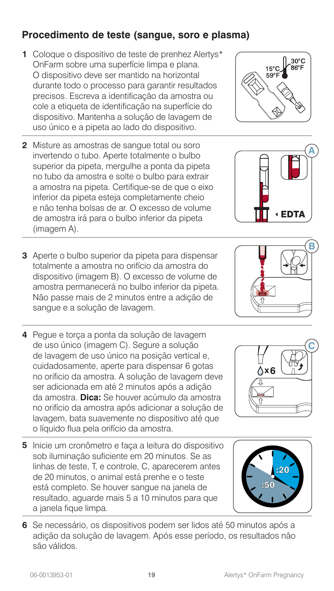# **Procedimento de teste (sangue, soro e plasma)**

- **1** Coloque o dispositivo de teste de prenhez Alertys\* OnFarm sobre uma superfície limpa e plana. O dispositivo deve ser mantido na horizontal durante todo o processo para garantir resultados precisos. Escreva a identificação da amostra ou cole a etiqueta de identificação na superfície do dispositivo. Mantenha a solução de lavagem de uso único e a pipeta ao lado do dispositivo.
- **2** Misture as amostras de sangue total ou soro invertendo o tubo. Aperte totalmente o bulbo superior da pipeta, mergulhe a ponta da pipeta no tubo da amostra e solte o bulbo para extrair a amostra na pipeta. Certifique-se de que o eixo inferior da pipeta esteja completamente cheio e não tenha bolsas de ar. O excesso de volume de amostra irá para o bulbo inferior da pipeta (imagem A).
- **3** Aperte o bulbo superior da pipeta para dispensar totalmente a amostra no orifício da amostra do dispositivo (imagem B). O excesso de volume de amostra permanecerá no bulbo inferior da pipeta. Não passe mais de 2 minutos entre a adição de sangue e a solução de lavagem.
- **4** Pegue e torça a ponta da solução de lavagem de uso único (imagem C). Segure a solução de lavagem de uso único na posição vertical e, cuidadosamente, aperte para dispensar 6 gotas no orificio da amostra. A solução de lavagem deve ser adicionada em até 2 minutos após a adição da amostra. **Dica:** Se houver acúmulo da amostra no orifício da amostra após adicionar a solução de lavagem, bata suavemente no dispositivo até que o líquido flua pela orifício da amostra.
- **5** Inicie um cronômetro e faça a leitura do dispositivo sob iluminação suficiente em 20 minutos. Se as linhas de teste, T, e controle, C, aparecerem antes de 20 minutos, o animal está prenhe e o teste está completo. Se houver sangue na janela de resultado, aguarde mais 5 a 10 minutos para que a janela fique limpa.
- **6** Se necessário, os dispositivos podem ser lidos até 50 minutos após a adição da solução de lavagem. Após esse período, os resultados não são válidos.



**A**







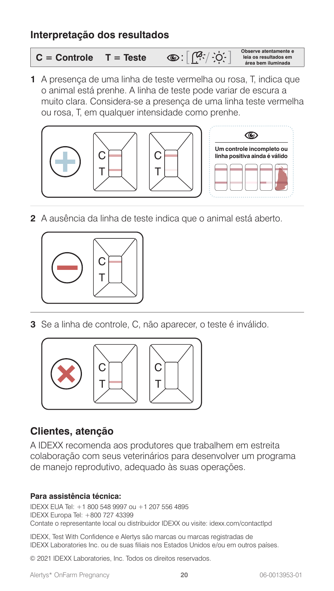#### **Interpretação dos resultados**

**C = Controle T = Teste Observe atentamente e leia os resultados em área bem iluminada**

**1** A presença de uma linha de teste vermelha ou rosa, T, indica que o animal está prenhe. A linha de teste pode variar de escura a muito clara. Considera-se a presença de uma linha teste vermelha ou rosa, T, em qualquer intensidade como prenhe.



**2** A ausência da linha de teste indica que o animal está aberto.



**3** Se a linha de controle, C, não aparecer, o teste é inválido.



### **Clientes, atenção**

A IDEXX recomenda aos produtores que trabalhem em estreita colaboração com seus veterinários para desenvolver um programa de manejo reprodutivo, adequado às suas operações.

#### **Para assistência técnica:**

IDEXX EUA Tel: +1 800 548 9997 ou +1 207 556 4895 IDEXX Europa Tel: +800 727 43399 Contate o representante local ou distribuidor IDEXX ou visite: idexx.com/contactlpd

IDEXX, Test With Confidence e Alertys são marcas ou marcas registradas de IDEXX Laboratories Inc. ou de suas filiais nos Estados Unidos e/ou em outros países.

© 2021 IDEXX Laboratories, Inc. Todos os direitos reservados.

Alertys\* OnFarm Pregnancy **20** 06-0013953-01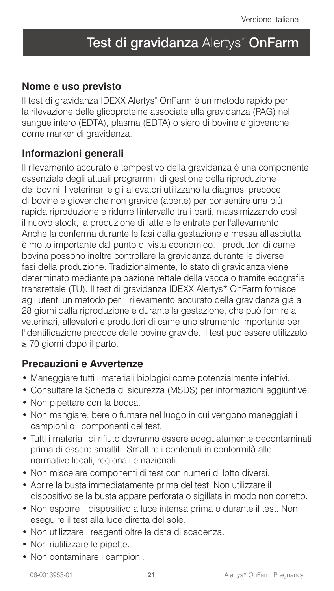# Test di gravidanza Alertys<sup>\*</sup> OnFarm

#### **Nome e uso previsto**

Il test di gravidanza IDEXX Alertys\* OnFarm è un metodo rapido per la rilevazione delle glicoproteine associate alla gravidanza (PAG) nel sangue intero (EDTA), plasma (EDTA) o siero di bovine e giovenche come marker di gravidanza.

#### **Informazioni generali**

Il rilevamento accurato e tempestivo della gravidanza è una componente essenziale degli attuali programmi di gestione della riproduzione dei bovini. I veterinari e gli allevatori utilizzano la diagnosi precoce di bovine e giovenche non gravide (aperte) per consentire una più rapida riproduzione e ridurre l'intervallo tra i parti, massimizzando così il nuovo stock, la produzione di latte e le entrate per l'allevamento. Anche la conferma durante le fasi dalla gestazione e messa all'asciutta è molto importante dal punto di vista economico. I produttori di carne bovina possono inoltre controllare la gravidanza durante le diverse fasi della produzione. Tradizionalmente, lo stato di gravidanza viene determinato mediante palpazione rettale della vacca o tramite ecografia transrettale (TU). Il test di gravidanza IDEXX Alertys\* OnFarm fornisce agli utenti un metodo per il rilevamento accurato della gravidanza già a 28 giorni dalla riproduzione e durante la gestazione, che può fornire a veterinari, allevatori e produttori di carne uno strumento importante per l'identificazione precoce delle bovine gravide. Il test può essere utilizzato ≥ 70 giorni dopo il parto.

#### **Precauzioni e Avvertenze**

- Maneggiare tutti i materiali biologici come potenzialmente infettivi.
- Consultare la Scheda di sicurezza (MSDS) per informazioni aggiuntive.
- Non pipettare con la bocca.
- Non mangiare, bere o fumare nel luogo in cui vengono maneggiati i campioni o i componenti del test.
- Tutti i materiali di rifiuto dovranno essere adeguatamente decontaminati prima di essere smaltiti. Smaltire i contenuti in conformità alle normative locali, regionali e nazionali.
- Non miscelare componenti di test con numeri di lotto diversi.
- Aprire la busta immediatamente prima del test. Non utilizzare il dispositivo se la busta appare perforata o sigillata in modo non corretto.
- Non esporre il dispositivo a luce intensa prima o durante il test. Non eseguire il test alla luce diretta del sole.
- Non utilizzare i reagenti oltre la data di scadenza.
- Non riutilizzare le pipette.
- Non contaminare i campioni.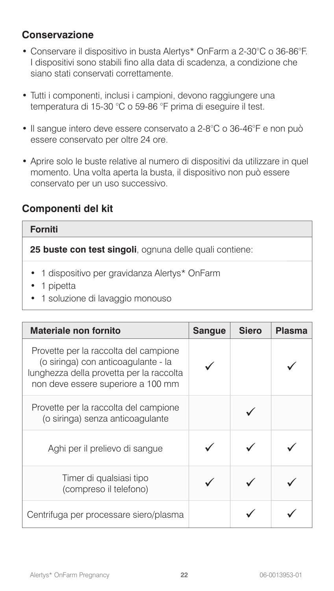## **Conservazione**

- Conservare il dispositivo in busta Alertys\* OnFarm a 2-30°C o 36-86°F. I dispositivi sono stabili fino alla data di scadenza, a condizione che siano stati conservati correttamente.
- Tutti i componenti, inclusi i campioni, devono raggiungere una temperatura di 15-30 °C o 59-86 °F prima di eseguire il test.
- Il sangue intero deve essere conservato a 2-8°C o 36-46°F e non può essere conservato per oltre 24 ore.
- Aprire solo le buste relative al numero di dispositivi da utilizzare in quel momento. Una volta aperta la busta, il dispositivo non può essere conservato per un uso successivo.

#### **Componenti del kit**

#### **Forniti**

**25 buste con test singoli**, ognuna delle quali contiene:

- 1 dispositivo per gravidanza Alertys\* OnFarm
- 1 pipetta
- 1 soluzione di lavaggio monouso

| Materiale non fornito                                                                                                                                          | <b>Sangue</b> | Siero | <b>Plasma</b> |
|----------------------------------------------------------------------------------------------------------------------------------------------------------------|---------------|-------|---------------|
| Provette per la raccolta del campione<br>(o siringa) con anticoagulante - la<br>lunghezza della provetta per la raccolta<br>non deve essere superiore a 100 mm |               |       |               |
| Provette per la raccolta del campione<br>(o siringa) senza anticoagulante                                                                                      |               |       |               |
| Aghi per il prelievo di sangue                                                                                                                                 |               |       |               |
| Timer di qualsiasi tipo<br>(compreso il telefono)                                                                                                              |               |       |               |
| Centrifuga per processare siero/plasma                                                                                                                         |               |       |               |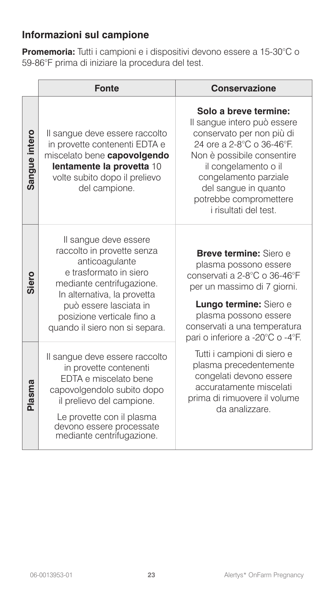## **Informazioni sul campione**

**Promemoria:** Tutti i campioni e i dispositivi devono essere a 15-30°C o 59-86°F prima di iniziare la procedura del test.

|               | <b>Fonte</b>                                                                                                                                                                                                                                          | <b>Conservazione</b>                                                                                                                                                                                                                                                            |
|---------------|-------------------------------------------------------------------------------------------------------------------------------------------------------------------------------------------------------------------------------------------------------|---------------------------------------------------------------------------------------------------------------------------------------------------------------------------------------------------------------------------------------------------------------------------------|
| Sangue intero | Il sangue deve essere raccolto<br>in provette contenenti EDTA e<br>miscelato bene capovolgendo<br>lentamente la provetta 10<br>volte subito dopo il prelievo<br>del campione.                                                                         | Solo a breve termine:<br>Il sangue intero può essere<br>conservato per non più di<br>24 ore a 2-8°C o 36-46°F.<br>Non è possibile consentire<br>il congelamento o il<br>congelamento parziale<br>del sangue in quanto<br>potrebbe compromettere<br><i>i</i> risultati del test. |
| Siero         | Il sangue deve essere<br>raccolto in provette senza<br>anticoagulante<br>e trasformato in siero<br>mediante centrifugazione.<br>In alternativa, la provetta<br>può essere lasciata in<br>posizione verticale fino a<br>quando il siero non si separa. | Breve termine: Siero e<br>plasma possono essere<br>conservati a 2-8°C o 36-46°F<br>per un massimo di 7 giorni.<br>Lungo termine: Siero e<br>plasma possono essere<br>conservati a una temperatura<br>pari o inferiore a -20°C o -4°F.                                           |
| Plasma        | Il sangue deve essere raccolto<br>in provette contenenti<br>EDTA e miscelato bene<br>capovolgendolo subito dopo<br>il prelievo del campione.<br>Le provette con il plasma<br>devono essere processate<br>mediante centrifugazione.                    | Tutti i campioni di siero e<br>plasma precedentemente<br>congelati devono essere<br>accuratamente miscelati<br>prima di rimuovere il volume<br>da analizzare.                                                                                                                   |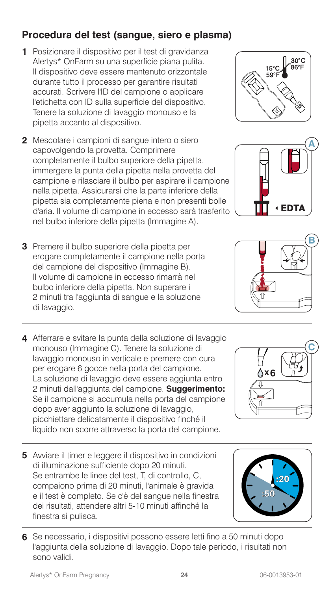# **Procedura del test (sangue, siero e plasma)**

- **1** Posizionare il dispositivo per il test di gravidanza Alertys\* OnFarm su una superficie piana pulita. Il dispositivo deve essere mantenuto orizzontale durante tutto il processo per garantire risultati accurati. Scrivere l'ID del campione o applicare l'etichetta con ID sulla superficie del dispositivo. Tenere la soluzione di lavaggio monouso e la pipetta accanto al dispositivo.
- **2** Mescolare i campioni di sangue intero o siero capovolgendo la provetta. Comprimere completamente il bulbo superiore della pipetta, immergere la punta della pipetta nella provetta del campione e rilasciare il bulbo per aspirare il campione nella pipetta. Assicurarsi che la parte inferiore della pipetta sia completamente piena e non presenti bolle d'aria. Il volume di campione in eccesso sarà trasferito nel bulbo inferiore della pipetta (Immagine A).
- **3** Premere il bulbo superiore della pipetta per erogare completamente il campione nella porta del campione del dispositivo (Immagine B). Il volume di campione in eccesso rimarrà nel bulbo inferiore della pipetta. Non superare i 2 minuti tra l'aggiunta di sangue e la soluzione di lavaggio.
- **4** Afferrare e svitare la punta della soluzione di lavaggio monouso (Immagine C). Tenere la soluzione di lavaggio monouso in verticale e premere con cura per erogare 6 gocce nella porta del campione. La soluzione di lavaggio deve essere aggiunta entro 2 minuti dall'aggiunta del campione. **Suggerimento:** Se il campione si accumula nella porta del campione dopo aver aggiunto la soluzione di lavaggio, picchiettare delicatamente il dispositivo finché il liquido non scorre attraverso la porta del campione.
- **5** Avviare il timer e leggere il dispositivo in condizioni di illuminazione sufficiente dopo 20 minuti. Se entrambe le linee del test, T, di controllo, C, compaiono prima di 20 minuti, l'animale è gravida e il test è completo. Se c'è del sangue nella finestra dei risultati, attendere altri 5-10 minuti affinché la finestra si pulisca.
- **6** Se necessario, i dispositivi possono essere letti fino a 50 minuti dopo l'aggiunta della soluzione di lavaggio. Dopo tale periodo, i risultati non sono validi.









**A**